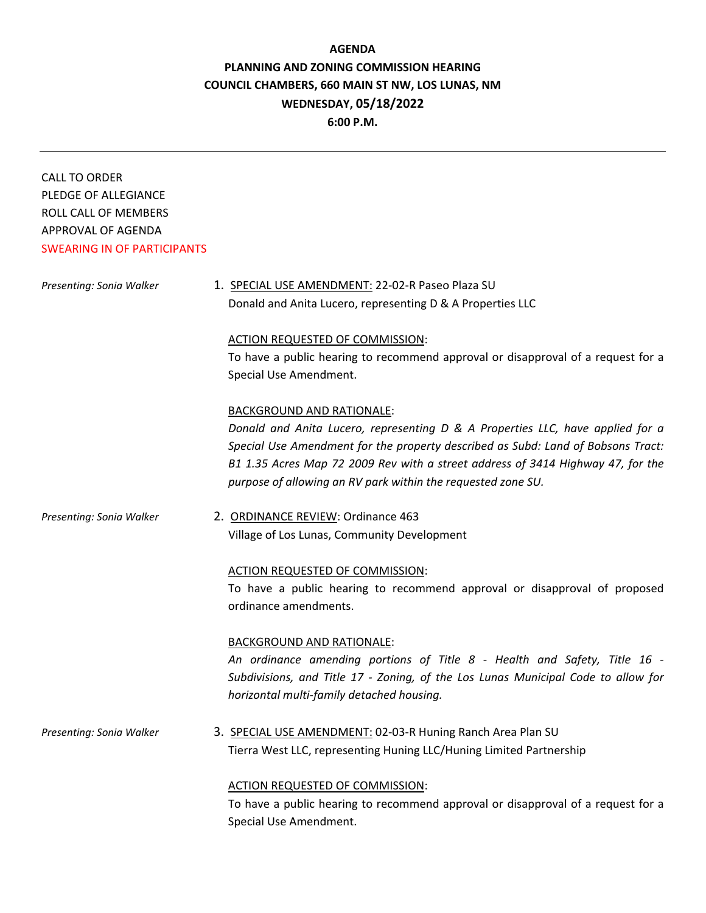# **AGENDA PLANNING AND ZONING COMMISSION HEARING COUNCIL CHAMBERS, 660 MAIN ST NW, LOS LUNAS, NM WEDNESDAY, 05/18/2022**

**6:00 P.M.**

| <b>CALL TO ORDER</b>               |                                                                                                                    |
|------------------------------------|--------------------------------------------------------------------------------------------------------------------|
| PLEDGE OF ALLEGIANCE               |                                                                                                                    |
| ROLL CALL OF MEMBERS               |                                                                                                                    |
| APPROVAL OF AGENDA                 |                                                                                                                    |
| <b>SWEARING IN OF PARTICIPANTS</b> |                                                                                                                    |
|                                    |                                                                                                                    |
| Presenting: Sonia Walker           | 1. SPECIAL USE AMENDMENT: 22-02-R Paseo Plaza SU                                                                   |
|                                    | Donald and Anita Lucero, representing D & A Properties LLC                                                         |
|                                    | ACTION REQUESTED OF COMMISSION:                                                                                    |
|                                    | To have a public hearing to recommend approval or disapproval of a request for a                                   |
|                                    | Special Use Amendment.                                                                                             |
|                                    |                                                                                                                    |
|                                    | <b>BACKGROUND AND RATIONALE:</b><br>Donald and Anita Lucero, representing D & A Properties LLC, have applied for a |
|                                    | Special Use Amendment for the property described as Subd: Land of Bobsons Tract:                                   |
|                                    | B1 1.35 Acres Map 72 2009 Rev with a street address of 3414 Highway 47, for the                                    |
|                                    | purpose of allowing an RV park within the requested zone SU.                                                       |
|                                    |                                                                                                                    |
| Presenting: Sonia Walker           | 2. ORDINANCE REVIEW: Ordinance 463                                                                                 |
|                                    | Village of Los Lunas, Community Development                                                                        |
|                                    | ACTION REQUESTED OF COMMISSION:                                                                                    |
|                                    | To have a public hearing to recommend approval or disapproval of proposed                                          |
|                                    | ordinance amendments.                                                                                              |
|                                    |                                                                                                                    |
|                                    | <b>BACKGROUND AND RATIONALE:</b>                                                                                   |
|                                    | An ordinance amending portions of Title 8 - Health and Safety, Title 16 -                                          |
|                                    | Subdivisions, and Title 17 - Zoning, of the Los Lunas Municipal Code to allow for                                  |
|                                    | horizontal multi-family detached housing.                                                                          |
| Presenting: Sonia Walker           | 3. SPECIAL USE AMENDMENT: 02-03-R Huning Ranch Area Plan SU                                                        |
|                                    | Tierra West LLC, representing Huning LLC/Huning Limited Partnership                                                |
|                                    | ACTION REQUESTED OF COMMISSION:                                                                                    |
|                                    | To have a public hearing to recommend approval or disapproval of a request for a                                   |
|                                    | Special Use Amendment.                                                                                             |